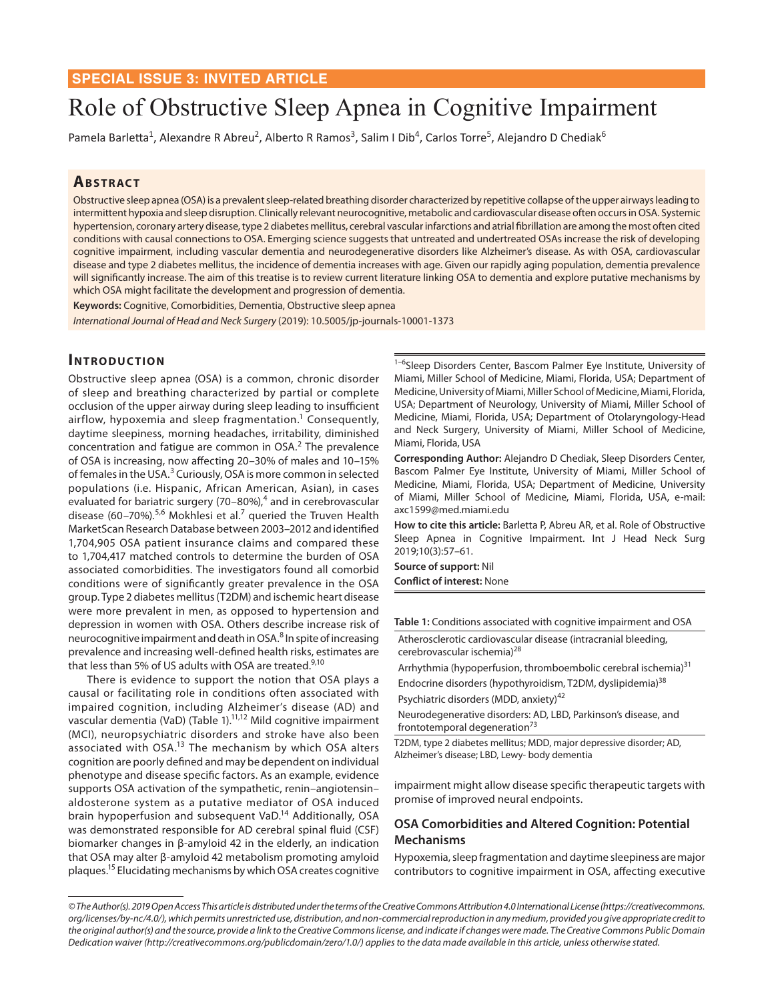# Role of Obstructive Sleep Apnea in Cognitive Impairment

Pamela Barletta<sup>1</sup>, Alexandre R Abreu<sup>2</sup>, Alberto R Ramos<sup>3</sup>, Salim I Dib<sup>4</sup>, Carlos Torre<sup>5</sup>, Alejandro D Chediak<sup>6</sup>

# **ABSTRACT**

Obstructive sleep apnea (OSA) is a prevalent sleep-related breathing disorder characterized by repetitive collapse of the upper airways leading to intermittent hypoxia and sleep disruption. Clinically relevant neurocognitive, metabolic and cardiovascular disease often occurs in OSA. Systemic hypertension, coronary artery disease, type 2 diabetes mellitus, cerebral vascular infarctions and atrial fibrillation are among the most often cited conditions with causal connections to OSA. Emerging science suggests that untreated and undertreated OSAs increase the risk of developing cognitive impairment, including vascular dementia and neurodegenerative disorders like Alzheimer's disease. As with OSA, cardiovascular disease and type 2 diabetes mellitus, the incidence of dementia increases with age. Given our rapidly aging population, dementia prevalence will significantly increase. The aim of this treatise is to review current literature linking OSA to dementia and explore putative mechanisms by which OSA might facilitate the development and progression of dementia.

**Keywords:** Cognitive, Comorbidities, Dementia, Obstructive sleep apnea *International Journal of Head and Neck Surgery* (2019): 10.5005/jp-journals-10001-1373

#### **INTRODUCTION**

Obstructive sleep apnea (OSA) is a common, chronic disorder of sleep and breathing characterized by partial or complete occlusion of the upper airway during sleep leading to insufficient airflow, hypoxemia and sleep fragmentation. $^1$  Consequently, daytime sleepiness, morning headaches, irritability, diminished concentration and fatigue are common in OSA. $<sup>2</sup>$  The prevalence</sup> of OSA is increasing, now affecting 20–30% of males and 10–15% of females in the USA.<sup>3</sup> Curiously, OSA is more common in selected populations (i.e. Hispanic, African American, Asian), in cases evaluated for bariatric surgery (70–80%),<sup>4</sup> and in cerebrovascular disease (60–70%).<sup>5,6</sup> Mokhlesi et al.<sup>7</sup> queried the Truven Health MarketScan Research Database between 2003–2012 and identified 1,704,905 OSA patient insurance claims and compared these to 1,704,417 matched controls to determine the burden of OSA associated comorbidities. The investigators found all comorbid conditions were of significantly greater prevalence in the OSA group. Type 2 diabetes mellitus (T2DM) and ischemic heart disease were more prevalent in men, as opposed to hypertension and depression in women with OSA. Others describe increase risk of neurocognitive impairment and death in OSA.<sup>8</sup> In spite of increasing prevalence and increasing well-defined health risks, estimates are that less than 5% of US adults with OSA are treated.<sup>9,10</sup>

There is evidence to support the notion that OSA plays a causal or facilitating role in conditions often associated with impaired cognition, including Alzheimer's disease (AD) and vascular dementia (VaD) (Table 1).<sup>11,12</sup> Mild cognitive impairment (MCI), neuropsychiatric disorders and stroke have also been associated with OSA.13 The mechanism by which OSA alters cognition are poorly defined and may be dependent on individual phenotype and disease specific factors. As an example, evidence supports OSA activation of the sympathetic, renin–angiotensin– aldosterone system as a putative mediator of OSA induced brain hypoperfusion and subsequent VaD.14 Additionally, OSA was demonstrated responsible for AD cerebral spinal fluid (CSF) biomarker changes in β-amyloid 42 in the elderly, an indication that OSA may alter β-amyloid 42 metabolism promoting amyloid plaques.15 Elucidating mechanisms by which OSA creates cognitive

<sup>1-6</sup>Sleep Disorders Center, Bascom Palmer Eye Institute, University of Miami, Miller School of Medicine, Miami, Florida, USA; Department of Medicine, University of Miami, Miller School of Medicine, Miami, Florida, USA; Department of Neurology, University of Miami, Miller School of Medicine, Miami, Florida, USA; Department of Otolaryngology-Head and Neck Surgery, University of Miami, Miller School of Medicine, Miami, Florida, USA

**Corresponding Author:** Alejandro D Chediak, Sleep Disorders Center, Bascom Palmer Eye Institute, University of Miami, Miller School of Medicine, Miami, Florida, USA; Department of Medicine, University of Miami, Miller School of Medicine, Miami, Florida, USA, e-mail: axc1599@med.miami.edu

**How to cite this article:** Barletta P, Abreu AR, et al. Role of Obstructive Sleep Apnea in Cognitive Impairment. Int J Head Neck Surg 2019;10(3):57–61.

**Source of support:** Nil **Conflict of interest:** None

**Table 1:** Conditions associated with cognitive impairment and OSA

Atherosclerotic cardiovascular disease (intracranial bleeding, cerebrovascular ischemia)<sup>28</sup>

Arrhythmia (hypoperfusion, thromboembolic cerebral ischemia)<sup>31</sup>

Endocrine disorders (hypothyroidism, T2DM, dyslipidemia)<sup>38</sup> Psychiatric disorders (MDD, anxiety)<sup>42</sup>

Neurodegenerative disorders: AD, LBD, Parkinson's disease, and frontotemporal degeneration $73$ 

T2DM, type 2 diabetes mellitus; MDD, major depressive disorder; AD, Alzheimer's disease; LBD, Lewy- body dementia

impairment might allow disease specific therapeutic targets with promise of improved neural endpoints.

### **OSA Comorbidities and Altered Cognition: Potential Mechanisms**

Hypoxemia, sleep fragmentation and daytime sleepiness are major contributors to cognitive impairment in OSA, affecting executive

*<sup>©</sup> The Author(s). 2019 Open Access This article is distributed under the terms of the Creative Commons Attribution 4.0 International License (https://creativecommons. org/licenses/by-nc/4.0/), which permits unrestricted use, distribution, and non-commercial reproduction in any medium, provided you give appropriate credit to the original author(s) and the source, provide a link to the Creative Commons license, and indicate if changes were made. The Creative Commons Public Domain Dedication waiver (http://creativecommons.org/publicdomain/zero/1.0/) applies to the data made available in this article, unless otherwise stated.*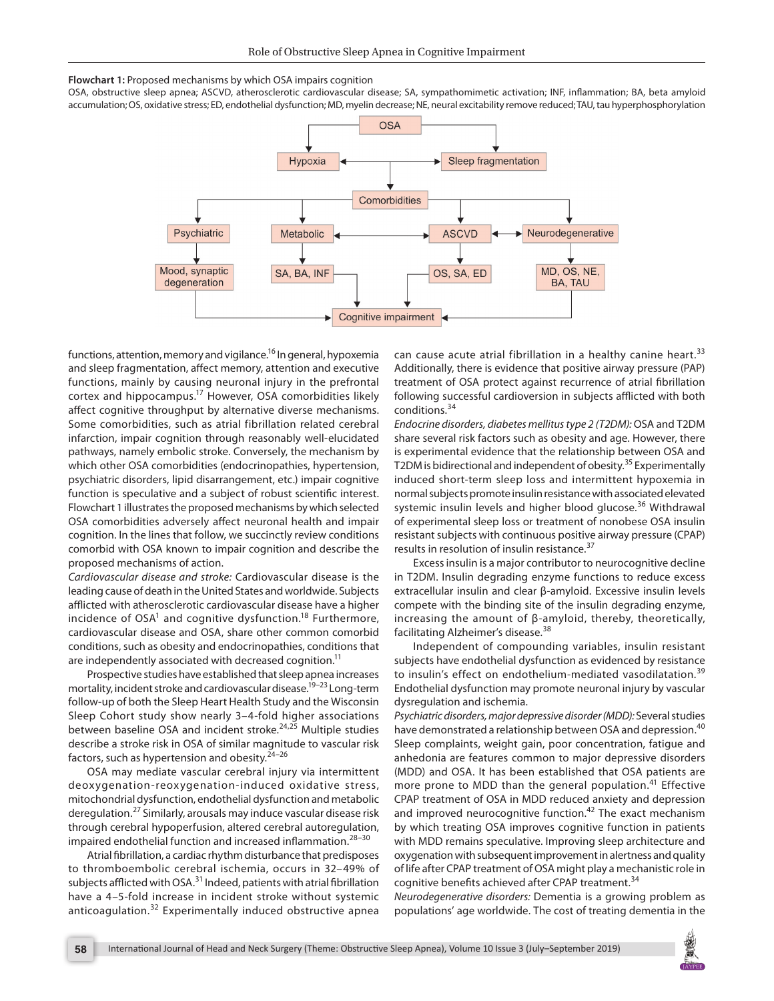

OSA, obstructive sleep apnea; ASCVD, atherosclerotic cardiovascular disease; SA, sympathomimetic activation; INF, inflammation; BA, beta amyloid accumulation; OS, oxidative stress; ED, endothelial dysfunction; MD, myelin decrease; NE, neural excitability remove reduced; TAU, tau hyperphosphorylation



functions, attention, memory and vigilance.<sup>16</sup> In general, hypoxemia and sleep fragmentation, affect memory, attention and executive functions, mainly by causing neuronal injury in the prefrontal cortex and hippocampus.17 However, OSA comorbidities likely affect cognitive throughput by alternative diverse mechanisms. Some comorbidities, such as atrial fibrillation related cerebral infarction, impair cognition through reasonably well-elucidated pathways, namely embolic stroke. Conversely, the mechanism by which other OSA comorbidities (endocrinopathies, hypertension, psychiatric disorders, lipid disarrangement, etc.) impair cognitive function is speculative and a subject of robust scientific interest. Flowchart 1 illustrates the proposed mechanisms by which selected OSA comorbidities adversely affect neuronal health and impair cognition. In the lines that follow, we succinctly review conditions comorbid with OSA known to impair cognition and describe the proposed mechanisms of action.

*Cardiovascular disease and stroke:* Cardiovascular disease is the leading cause of death in the United States and worldwide. Subjects afflicted with atherosclerotic cardiovascular disease have a higher incidence of  $OSA<sup>1</sup>$  and cognitive dysfunction.<sup>18</sup> Furthermore, cardiovascular disease and OSA, share other common comorbid conditions, such as obesity and endocrinopathies, conditions that are independently associated with decreased cognition.<sup>11</sup>

Prospective studies have established that sleep apnea increases mortality, incident stroke and cardiovascular disease.19–23 Long-term follow-up of both the Sleep Heart Health Study and the Wisconsin Sleep Cohort study show nearly 3–4-fold higher associations between baseline OSA and incident stroke.<sup>24,25</sup> Multiple studies describe a stroke risk in OSA of similar magnitude to vascular risk factors, such as hypertension and obesity. $24-26$ 

OSA may mediate vascular cerebral injury via intermittent deoxygenation-reoxygenation-induced oxidative stress, mitochondrial dysfunction, endothelial dysfunction and metabolic deregulation.27 Similarly, arousals may induce vascular disease risk through cerebral hypoperfusion, altered cerebral autoregulation, impaired endothelial function and increased inflammation.<sup>28-30</sup>

Atrial fibrillation, a cardiac rhythm disturbance that predisposes to thromboembolic cerebral ischemia, occurs in 32–49% of subjects afflicted with OSA.<sup>31</sup> Indeed, patients with atrial fibrillation have a 4–5-fold increase in incident stroke without systemic anticoagulation.<sup>32</sup> Experimentally induced obstructive apnea

can cause acute atrial fibrillation in a healthy canine heart.<sup>33</sup> Additionally, there is evidence that positive airway pressure (PAP) treatment of OSA protect against recurrence of atrial fibrillation following successful cardioversion in subjects afflicted with both conditions.<sup>34</sup>

*Endocrine disorders, diabetes mellitus type 2 (T2DM):* OSA and T2DM share several risk factors such as obesity and age. However, there is experimental evidence that the relationship between OSA and T2DM is bidirectional and independent of obesity.<sup>35</sup> Experimentally induced short-term sleep loss and intermittent hypoxemia in normal subjects promote insulin resistance with associated elevated systemic insulin levels and higher blood glucose.<sup>36</sup> Withdrawal of experimental sleep loss or treatment of nonobese OSA insulin resistant subjects with continuous positive airway pressure (CPAP) results in resolution of insulin resistance.<sup>37</sup>

Excess insulin is a major contributor to neurocognitive decline in T2DM. Insulin degrading enzyme functions to reduce excess extracellular insulin and clear β-amyloid. Excessive insulin levels compete with the binding site of the insulin degrading enzyme, increasing the amount of β-amyloid, thereby, theoretically, facilitating Alzheimer's disease.<sup>38</sup>

Independent of compounding variables, insulin resistant subjects have endothelial dysfunction as evidenced by resistance to insulin's effect on endothelium-mediated vasodilatation.<sup>39</sup> Endothelial dysfunction may promote neuronal injury by vascular dysregulation and ischemia.

*Psychiatric disorders, major depressive disorder (MDD):* Several studies have demonstrated a relationship between OSA and depression.<sup>40</sup> Sleep complaints, weight gain, poor concentration, fatigue and anhedonia are features common to major depressive disorders (MDD) and OSA. It has been established that OSA patients are more prone to MDD than the general population.<sup>41</sup> Effective CPAP treatment of OSA in MDD reduced anxiety and depression and improved neurocognitive function.<sup>42</sup> The exact mechanism by which treating OSA improves cognitive function in patients with MDD remains speculative. Improving sleep architecture and oxygenation with subsequent improvement in alertness and quality of life after CPAP treatment of OSA might play a mechanistic role in cognitive benefits achieved after CPAP treatment.<sup>34</sup>

*Neurodegenerative disorders:* Dementia is a growing problem as populations' age worldwide. The cost of treating dementia in the

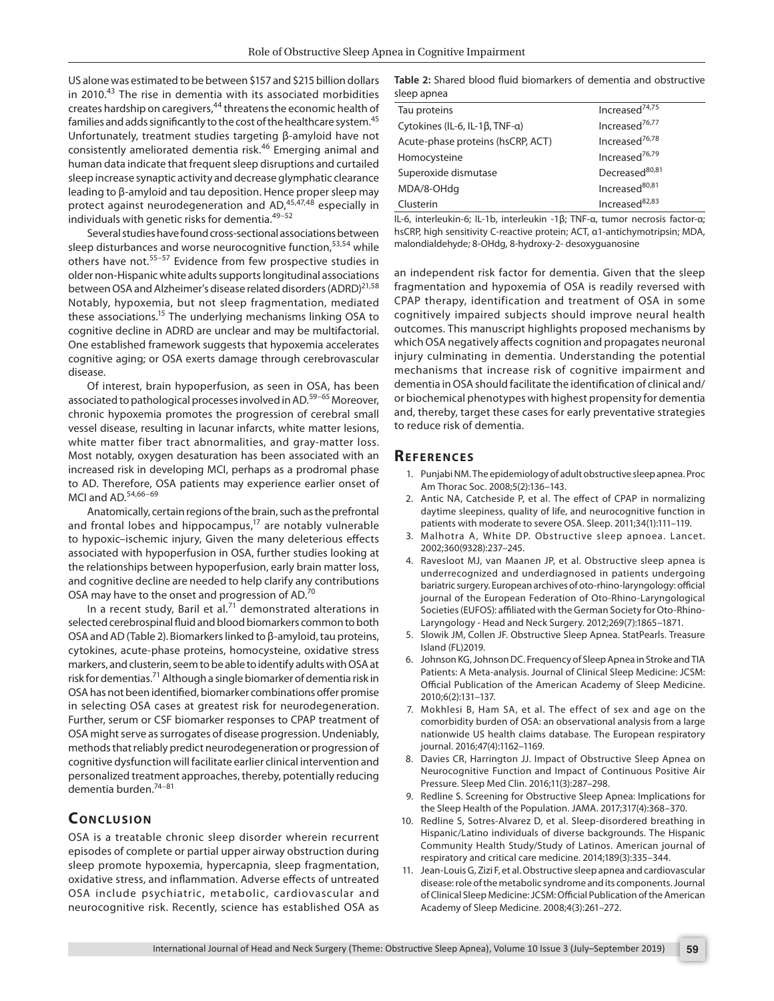US alone was estimated to be between \$157 and \$215 billion dollars in 2010.43 The rise in dementia with its associated morbidities creates hardship on caregivers,<sup>44</sup> threatens the economic health of families and adds significantly to the cost of the healthcare system.<sup>45</sup> Unfortunately, treatment studies targeting β-amyloid have not consistently ameliorated dementia risk.46 Emerging animal and human data indicate that frequent sleep disruptions and curtailed sleep increase synaptic activity and decrease glymphatic clearance leading to β-amyloid and tau deposition. Hence proper sleep may protect against neurodegeneration and AD,<sup>45,47,48</sup> especially in individuals with genetic risks for dementia.49–52

Several studies have found cross-sectional associations between sleep disturbances and worse neurocognitive function,<sup>53,54</sup> while others have not.<sup>55-57</sup> Evidence from few prospective studies in older non-Hispanic white adults supports longitudinal associations between OSA and Alzheimer's disease related disorders (ADRD)<sup>21,58</sup> Notably, hypoxemia, but not sleep fragmentation, mediated these associations.<sup>15</sup> The underlying mechanisms linking OSA to cognitive decline in ADRD are unclear and may be multifactorial. One established framework suggests that hypoxemia accelerates cognitive aging; or OSA exerts damage through cerebrovascular disease.

Of interest, brain hypoperfusion, as seen in OSA, has been associated to pathological processes involved in AD.<sup>59–65</sup> Moreover, chronic hypoxemia promotes the progression of cerebral small vessel disease, resulting in lacunar infarcts, white matter lesions, white matter fiber tract abnormalities, and gray-matter loss. Most notably, oxygen desaturation has been associated with an increased risk in developing MCI, perhaps as a prodromal phase to AD. Therefore, OSA patients may experience earlier onset of MCI and AD.<sup>54,66-69</sup>

Anatomically, certain regions of the brain, such as the prefrontal and frontal lobes and hippocampus, $17$  are notably vulnerable to hypoxic–ischemic injury, Given the many deleterious effects associated with hypoperfusion in OSA, further studies looking at the relationships between hypoperfusion, early brain matter loss, and cognitive decline are needed to help clarify any contributions OSA may have to the onset and progression of AD.<sup>70</sup>

In a recent study, Baril et al*.* 71 demonstrated alterations in selected cerebrospinal fluid and blood biomarkers common to both OSA and AD (Table 2). Biomarkers linked to β-amyloid, tau proteins, cytokines, acute-phase proteins, homocysteine, oxidative stress markers, and clusterin, seem to be able to identify adults with OSA at risk for dementias.<sup>71</sup> Although a single biomarker of dementia risk in OSA has not been identified, biomarker combinations offer promise in selecting OSA cases at greatest risk for neurodegeneration. Further, serum or CSF biomarker responses to CPAP treatment of OSA might serve as surrogates of disease progression. Undeniably, methods that reliably predict neurodegeneration or progression of cognitive dysfunction will facilitate earlier clinical intervention and personalized treatment approaches, thereby, potentially reducing dementia burden.74–81

# **CONCLUSION**

OSA is a treatable chronic sleep disorder wherein recurrent episodes of complete or partial upper airway obstruction during sleep promote hypoxemia, hypercapnia, sleep fragmentation, oxidative stress, and inflammation. Adverse effects of untreated OSA include psychiatric, metabolic, cardiovascular and neurocognitive risk. Recently, science has established OSA as

**Table 2:** Shared blood fluid biomarkers of dementia and obstructive sleep apnea

| Tau proteins                      | Increased <sup>74,75</sup> |
|-----------------------------------|----------------------------|
| Cytokines (IL-6, IL-1β, TNF-α)    | Increased <sup>76,77</sup> |
| Acute-phase proteins (hsCRP, ACT) | Increased <sup>76,78</sup> |
| Homocysteine                      | Increased <sup>76,79</sup> |
| Superoxide dismutase              | Decreased <sup>80,81</sup> |
| MDA/8-OHdg                        | Increased <sup>80,81</sup> |
| Clusterin                         | Increased <sup>82,83</sup> |
|                                   |                            |

IL-6, interleukin-6; IL-1b, interleukin -1β; TNF-α, tumor necrosis factor-α; hsCRP, high sensitivity C-reactive protein; ACT, α1-antichymotripsin; MDA, malondialdehyde; 8-OHdg, 8-hydroxy-2- desoxyguanosine

an independent risk factor for dementia. Given that the sleep fragmentation and hypoxemia of OSA is readily reversed with CPAP therapy, identification and treatment of OSA in some cognitively impaired subjects should improve neural health outcomes. This manuscript highlights proposed mechanisms by which OSA negatively affects cognition and propagates neuronal injury culminating in dementia. Understanding the potential mechanisms that increase risk of cognitive impairment and dementia in OSA should facilitate the identification of clinical and/ or biochemical phenotypes with highest propensity for dementia and, thereby, target these cases for early preventative strategies to reduce risk of dementia.

### **Re f er enc es**

- 1. Punjabi NM. The epidemiology of adult obstructive sleep apnea. Proc Am Thorac Soc. 2008;5(2):136–143.
- 2. Antic NA, Catcheside P, et al. The effect of CPAP in normalizing daytime sleepiness, quality of life, and neurocognitive function in patients with moderate to severe OSA. Sleep. 2011;34(1):111–119.
- 3. Malhotra A, White DP. Obstructive sleep apnoea. Lancet. 2002;360(9328):237–245.
- 4. Ravesloot MJ, van Maanen JP, et al. Obstructive sleep apnea is underrecognized and underdiagnosed in patients undergoing bariatric surgery. European archives of oto-rhino-laryngology: official journal of the European Federation of Oto-Rhino-Laryngological Societies (EUFOS): affiliated with the German Society for Oto-Rhino-Laryngology - Head and Neck Surgery. 2012;269(7):1865–1871.
- 5. Slowik JM, Collen JF. Obstructive Sleep Apnea. StatPearls. Treasure Island (FL)2019.
- 6. Johnson KG, Johnson DC. Frequency of Sleep Apnea in Stroke and TIA Patients: A Meta-analysis. Journal of Clinical Sleep Medicine: JCSM: Official Publication of the American Academy of Sleep Medicine. 2010;6(2):131–137.
- 7. Mokhlesi B, Ham SA, et al. The effect of sex and age on the comorbidity burden of OSA: an observational analysis from a large nationwide US health claims database. The European respiratory journal. 2016;47(4):1162–1169.
- 8. Davies CR, Harrington JJ. Impact of Obstructive Sleep Apnea on Neurocognitive Function and Impact of Continuous Positive Air Pressure. Sleep Med Clin. 2016;11(3):287–298.
- 9. Redline S. Screening for Obstructive Sleep Apnea: Implications for the Sleep Health of the Population. JAMA. 2017;317(4):368–370.
- 10. Redline S, Sotres-Alvarez D, et al. Sleep-disordered breathing in Hispanic/Latino individuals of diverse backgrounds. The Hispanic Community Health Study/Study of Latinos. American journal of respiratory and critical care medicine. 2014;189(3):335–344.
- 11. Jean-Louis G, Zizi F, et al. Obstructive sleep apnea and cardiovascular disease: role of the metabolic syndrome and its components. Journal of Clinical Sleep Medicine: JCSM: Official Publication of the American Academy of Sleep Medicine. 2008;4(3):261–272.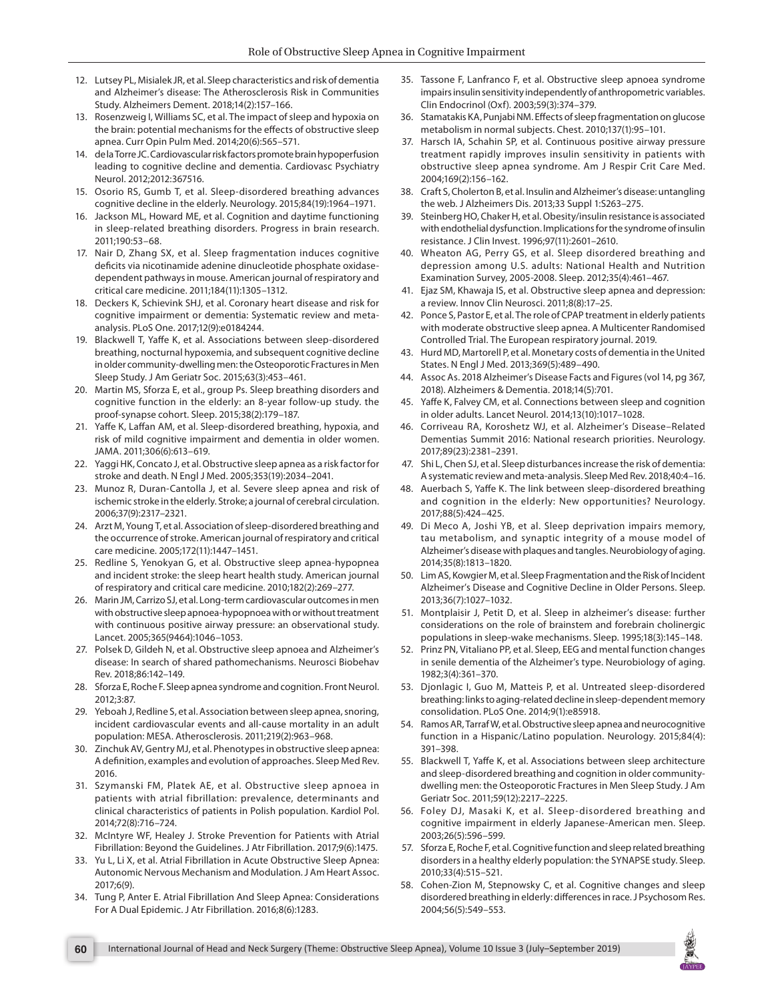- 12. Lutsey PL, Misialek JR, et al. Sleep characteristics and risk of dementia and Alzheimer's disease: The Atherosclerosis Risk in Communities Study. Alzheimers Dement. 2018;14(2):157–166.
- 13. Rosenzweig I, Williams SC, et al. The impact of sleep and hypoxia on the brain: potential mechanisms for the effects of obstructive sleep apnea. Curr Opin Pulm Med. 2014;20(6):565–571.
- 14. de la Torre JC. Cardiovascular risk factors promote brain hypoperfusion leading to cognitive decline and dementia. Cardiovasc Psychiatry Neurol. 2012;2012:367516.
- 15. Osorio RS, Gumb T, et al. Sleep-disordered breathing advances cognitive decline in the elderly. Neurology. 2015;84(19):1964–1971.
- 16. Jackson ML, Howard ME, et al. Cognition and daytime functioning in sleep-related breathing disorders. Progress in brain research. 2011;190:53–68.
- 17. Nair D, Zhang SX, et al. Sleep fragmentation induces cognitive deficits via nicotinamide adenine dinucleotide phosphate oxidasedependent pathways in mouse. American journal of respiratory and critical care medicine. 2011;184(11):1305–1312.
- 18. Deckers K, Schievink SHJ, et al. Coronary heart disease and risk for cognitive impairment or dementia: Systematic review and metaanalysis. PLoS One. 2017;12(9):e0184244.
- 19. Blackwell T, Yaffe K, et al. Associations between sleep-disordered breathing, nocturnal hypoxemia, and subsequent cognitive decline in older community-dwelling men: the Osteoporotic Fractures in Men Sleep Study. J Am Geriatr Soc. 2015;63(3):453–461.
- 20. Martin MS, Sforza E, et al., group Ps. Sleep breathing disorders and cognitive function in the elderly: an 8-year follow-up study. the proof-synapse cohort. Sleep. 2015;38(2):179–187.
- 21. Yaffe K, Laffan AM, et al. Sleep-disordered breathing, hypoxia, and risk of mild cognitive impairment and dementia in older women. JAMA. 2011;306(6):613–619.
- 22. Yaggi HK, Concato J, et al. Obstructive sleep apnea as a risk factor for stroke and death. N Engl J Med. 2005;353(19):2034–2041.
- 23. Munoz R, Duran-Cantolla J, et al. Severe sleep apnea and risk of ischemic stroke in the elderly. Stroke; a journal of cerebral circulation. 2006;37(9):2317–2321.
- 24. Arzt M, Young T, et al. Association of sleep-disordered breathing and the occurrence of stroke. American journal of respiratory and critical care medicine. 2005;172(11):1447–1451.
- 25. Redline S, Yenokyan G, et al. Obstructive sleep apnea-hypopnea and incident stroke: the sleep heart health study. American journal of respiratory and critical care medicine. 2010;182(2):269–277.
- 26. Marin JM, Carrizo SJ, et al. Long-term cardiovascular outcomes in men with obstructive sleep apnoea-hypopnoea with or without treatment with continuous positive airway pressure: an observational study. Lancet. 2005;365(9464):1046–1053.
- 27. Polsek D, Gildeh N, et al. Obstructive sleep apnoea and Alzheimer's disease: In search of shared pathomechanisms. Neurosci Biobehav Rev. 2018;86:142–149.
- 28. Sforza E, Roche F. Sleep apnea syndrome and cognition. Front Neurol. 2012;3:87.
- 29. Yeboah J, Redline S, et al. Association between sleep apnea, snoring, incident cardiovascular events and all-cause mortality in an adult population: MESA. Atherosclerosis. 2011;219(2):963–968.
- 30. Zinchuk AV, Gentry MJ, et al. Phenotypes in obstructive sleep apnea: A definition, examples and evolution of approaches. Sleep Med Rev. 2016.
- 31. Szymanski FM, Platek AE, et al. Obstructive sleep apnoea in patients with atrial fibrillation: prevalence, determinants and clinical characteristics of patients in Polish population. Kardiol Pol. 2014;72(8):716–724.
- 32. McIntyre WF, Healey J. Stroke Prevention for Patients with Atrial Fibrillation: Beyond the Guidelines. J Atr Fibrillation. 2017;9(6):1475.
- 33. Yu L, Li X, et al. Atrial Fibrillation in Acute Obstructive Sleep Apnea: Autonomic Nervous Mechanism and Modulation. J Am Heart Assoc. 2017;6(9).
- 34. Tung P, Anter E. Atrial Fibrillation And Sleep Apnea: Considerations For A Dual Epidemic. J Atr Fibrillation. 2016;8(6):1283.
- 35. Tassone F, Lanfranco F, et al. Obstructive sleep apnoea syndrome impairs insulin sensitivity independently of anthropometric variables. Clin Endocrinol (Oxf). 2003;59(3):374–379.
- 36. Stamatakis KA, Punjabi NM. Effects of sleep fragmentation on glucose metabolism in normal subjects. Chest. 2010;137(1):95–101.
- 37. Harsch IA, Schahin SP, et al. Continuous positive airway pressure treatment rapidly improves insulin sensitivity in patients with obstructive sleep apnea syndrome. Am J Respir Crit Care Med. 2004;169(2):156–162.
- 38. Craft S, Cholerton B, et al. Insulin and Alzheimer's disease: untangling the web. J Alzheimers Dis. 2013;33 Suppl 1:S263–275.
- 39. Steinberg HO, Chaker H, et al. Obesity/insulin resistance is associated with endothelial dysfunction. Implications for the syndrome of insulin resistance. J Clin Invest. 1996;97(11):2601–2610.
- 40. Wheaton AG, Perry GS, et al. Sleep disordered breathing and depression among U.S. adults: National Health and Nutrition Examination Survey, 2005-2008. Sleep. 2012;35(4):461–467.
- 41. Ejaz SM, Khawaja IS, et al. Obstructive sleep apnea and depression: a review. Innov Clin Neurosci. 2011;8(8):17–25.
- 42. Ponce S, Pastor E, et al. The role of CPAP treatment in elderly patients with moderate obstructive sleep apnea. A Multicenter Randomised Controlled Trial. The European respiratory journal. 2019.
- 43. Hurd MD, Martorell P, et al. Monetary costs of dementia in the United States. N Engl J Med. 2013;369(5):489–490.
- 44. Assoc As. 2018 Alzheimer's Disease Facts and Figures (vol 14, pg 367, 2018). Alzheimers & Dementia. 2018;14(5):701.
- 45. Yaffe K, Falvey CM, et al. Connections between sleep and cognition in older adults. Lancet Neurol. 2014;13(10):1017–1028.
- 46. Corriveau RA, Koroshetz WJ, et al. Alzheimer's Disease–Related Dementias Summit 2016: National research priorities. Neurology. 2017;89(23):2381–2391.
- 47. Shi L, Chen SJ, et al. Sleep disturbances increase the risk of dementia: A systematic review and meta-analysis. Sleep Med Rev. 2018;40:4–16.
- 48. Auerbach S, Yaffe K. The link between sleep-disordered breathing and cognition in the elderly: New opportunities? Neurology. 2017;88(5):424–425.
- 49. Di Meco A, Joshi YB, et al. Sleep deprivation impairs memory, tau metabolism, and synaptic integrity of a mouse model of Alzheimer's disease with plaques and tangles. Neurobiology of aging. 2014;35(8):1813–1820.
- 50. Lim AS, Kowgier M, et al. Sleep Fragmentation and the Risk of Incident Alzheimer's Disease and Cognitive Decline in Older Persons. Sleep. 2013;36(7):1027–1032.
- 51. Montplaisir J, Petit D, et al. Sleep in alzheimer's disease: further considerations on the role of brainstem and forebrain cholinergic populations in sleep-wake mechanisms. Sleep. 1995;18(3):145–148.
- 52. Prinz PN, Vitaliano PP, et al. Sleep, EEG and mental function changes in senile dementia of the Alzheimer's type. Neurobiology of aging. 1982;3(4):361–370.
- 53. Djonlagic I, Guo M, Matteis P, et al. Untreated sleep-disordered breathing: links to aging-related decline in sleep-dependent memory consolidation. PLoS One. 2014;9(1):e85918.
- 54. Ramos AR, Tarraf W, et al. Obstructive sleep apnea and neurocognitive function in a Hispanic/Latino population. Neurology. 2015;84(4): 391–398.
- 55. Blackwell T, Yaffe K, et al. Associations between sleep architecture and sleep-disordered breathing and cognition in older communitydwelling men: the Osteoporotic Fractures in Men Sleep Study. J Am Geriatr Soc. 2011;59(12):2217–2225.
- 56. Foley DJ, Masaki K, et al. Sleep-disordered breathing and cognitive impairment in elderly Japanese-American men. Sleep. 2003;26(5):596–599.
- 57. Sforza E, Roche F, et al. Cognitive function and sleep related breathing disorders in a healthy elderly population: the SYNAPSE study. Sleep. 2010;33(4):515–521.
- 58. Cohen-Zion M, Stepnowsky C, et al. Cognitive changes and sleep disordered breathing in elderly: differences in race. J Psychosom Res. 2004;56(5):549–553.